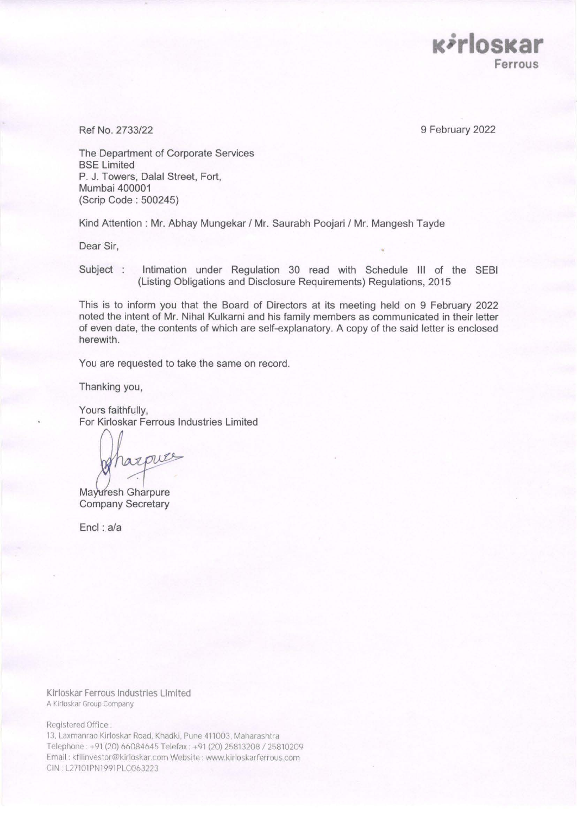

Ref No. 2733/22 9 February 2022

The Department of Corporate Services BSE Limited P. J. Towers, Dalal Street, Fort, Mumbai 400001 (Scrip Code : 500245)

Kind Attention : Mr. Abhay Mungekar / Mr. Saurabh Poojari / Mr. Mangesh Tayde

Dear Sir,

Subject : Intimation under Regulation 30 read with Schedule Ill of the SEBI (Listing Obligations and Disclosure Requirements) Regulations, 2015

This is to inform you that the Board of Directors at its meeting held on 9 February 2022 noted the intent of Mr. Nihal Kulkarni and his family members as communicated in their letter of even date, the contents of which are self-explanatory. A copy of the said letter is enclosed herewith.

You are requested to take the same on record.

Thanking you,

Yours faithfully, For Kirloskar Ferrous Industries Limited

razpues

Mayuresh Gharpure Company Secretary

 $Encl : a/a$ 

Klrloskar Ferrous Industries Limited A Kirloskar Group Company

Registered Office

13, Laxmanrao Kirloskar Road, Khadki, Pune 411003, Maharashtra Telephone: +91 (20) 66084645 Telefax: +91 (20) 25813208 / 25810209 Email: kfilinvestor@kirloskar.comWebsite:www.kirloskarferrous.com CIN: L27101PN1991PLC063223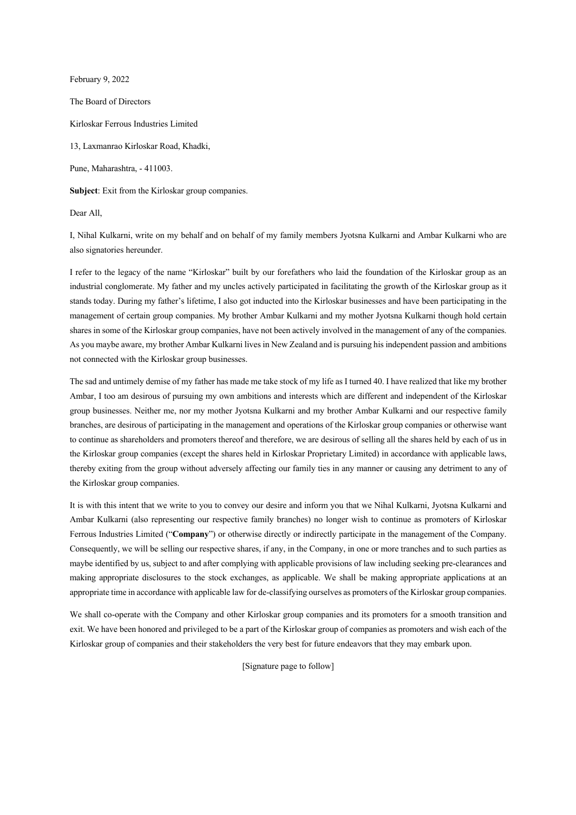February 9, 2022

The Board of Directors

Kirloskar Ferrous Industries Limited

13, Laxmanrao Kirloskar Road, Khadki,

Pune, Maharashtra, - 411003.

**Subject**: Exit from the Kirloskar group companies.

Dear All,

I, Nihal Kulkarni, write on my behalf and on behalf of my family members Jyotsna Kulkarni and Ambar Kulkarni who are also signatories hereunder.

I refer to the legacy of the name "Kirloskar" built by our forefathers who laid the foundation of the Kirloskar group as an industrial conglomerate. My father and my uncles actively participated in facilitating the growth of the Kirloskar group as it stands today. During my father's lifetime, I also got inducted into the Kirloskar businesses and have been participating in the management of certain group companies. My brother Ambar Kulkarni and my mother Jyotsna Kulkarni though hold certain shares in some of the Kirloskar group companies, have not been actively involved in the management of any of the companies. As you maybe aware, my brother Ambar Kulkarni lives in New Zealand and is pursuing his independent passion and ambitions not connected with the Kirloskar group businesses.

The sad and untimely demise of my father has made me take stock of my life as I turned 40. I have realized that like my brother Ambar, I too am desirous of pursuing my own ambitions and interests which are different and independent of the Kirloskar group businesses. Neither me, nor my mother Jyotsna Kulkarni and my brother Ambar Kulkarni and our respective family branches, are desirous of participating in the management and operations of the Kirloskar group companies or otherwise want to continue as shareholders and promoters thereof and therefore, we are desirous of selling all the shares held by each of us in the Kirloskar group companies (except the shares held in Kirloskar Proprietary Limited) in accordance with applicable laws, thereby exiting from the group without adversely affecting our family ties in any manner or causing any detriment to any of the Kirloskar group companies.

It is with this intent that we write to you to convey our desire and inform you that we Nihal Kulkarni, Jyotsna Kulkarni and Ambar Kulkarni (also representing our respective family branches) no longer wish to continue as promoters of Kirloskar Ferrous Industries Limited ("**Company**") or otherwise directly or indirectly participate in the management of the Company. Consequently, we will be selling our respective shares, if any, in the Company, in one or more tranches and to such parties as maybe identified by us, subject to and after complying with applicable provisions of law including seeking pre-clearances and making appropriate disclosures to the stock exchanges, as applicable. We shall be making appropriate applications at an appropriate time in accordance with applicable law for de-classifying ourselves as promoters of the Kirloskar group companies.

We shall co-operate with the Company and other Kirloskar group companies and its promoters for a smooth transition and exit. We have been honored and privileged to be a part of the Kirloskar group of companies as promoters and wish each of the Kirloskar group of companies and their stakeholders the very best for future endeavors that they may embark upon.

[Signature page to follow]